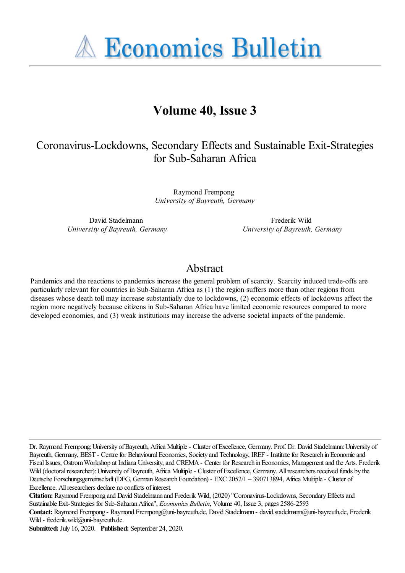**A Economics Bulletin** 

# **Volume 40, Issue 3**

# Coronavirus-Lockdowns, Secondary Effects and Sustainable Exit-Strategies for Sub-Saharan Africa

Raymond Frempong *University of Bayreuth, Germany*

David Stadelmann *University of Bayreuth, Germany*

Frederik Wild *University of Bayreuth, Germany*

# Abstract

Pandemics and the reactions to pandemics increase the general problem of scarcity. Scarcity induced trade-offs are particularly relevant for countries in Sub-Saharan Africa as (1) the region suffers more than other regions from diseases whose death toll may increase substantially due to lockdowns, (2) economic effects of lockdowns affect the region more negatively because citizens in Sub-Saharan Africa have limited economic resources compared to more developed economies, and (3) weak institutions may increase the adverse societal impacts of the pandemic.

Dr. Raymond Frempong: University of Bayreuth, Africa Multiple - Cluster of Excellence, Germany. Prof. Dr. David Stadelmann: University of Bayreuth, Germany, BEST - Centre for Behavioural Economics, Society and Technology, IREF - Institute for Research in Economic and Fiscal Issues, Ostrom Workshop at Indiana University, and CREMA - Center for Research in Economics, Management and the Arts. Frederik Wild (doctoral researcher): University of Bayreuth, Africa Multiple - Cluster of Excellence, Germany. All researchers received funds by the Deutsche Forschungsgemeinschaft (DFG, German Research Foundation) - EXC 2052/1 – 390713894, Africa Multiple - Cluster of Excellence. All researchers declare no conflicts of interest.

**Citation:** Raymond Frempong and David Stadelmann and Frederik Wild, (2020) ''Coronavirus-Lockdowns, Secondary Effects and Sustainable Exit-Strategies for Sub-Saharan Africa'', *Economics Bulletin*, Volume 40, Issue 3, pages 2586-2593

**Submitted:** July 16, 2020. **Published:** September 24, 2020.

**Contact:** Raymond Frempong - Raymond.Frempong@uni-bayreuth.de, David Stadelmann - david.stadelmann@uni-bayreuth.de, Frederik Wild - frederik.wild@uni-bayreuth.de.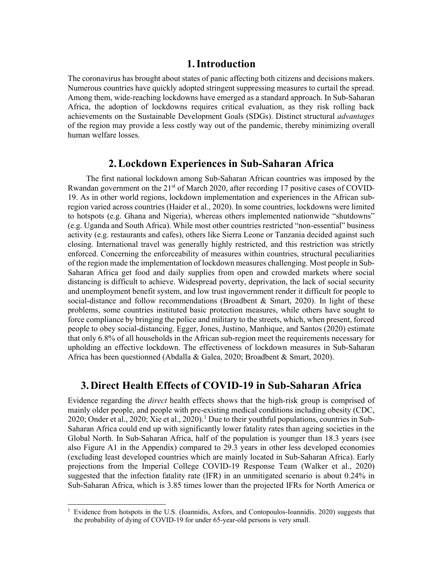## **1.Introduction**

The coronavirus has brought about states of panic affecting both citizens and decisions makers. Numerous countries have quickly adopted stringent suppressing measures to curtail the spread. Among them, wide-reaching lockdowns have emerged as a standard approach. In Sub-Saharan Africa, the adoption of lockdowns requires critical evaluation, as they risk rolling back achievements on the Sustainable Development Goals (SDGs). Distinct structural *advantages* of the region may provide a less costly way out of the pandemic, thereby minimizing overall human welfare losses.

## **2.Lockdown Experiences in Sub-Saharan Africa**

The first national lockdown among Sub-Saharan African countries was imposed by the Rwandan government on the  $21<sup>st</sup>$  of March 2020, after recording 17 positive cases of COVID-19. As in other world regions, lockdown implementation and experiences in the African subregion varied across countries (Haider et al., 2020). In some countries, lockdowns were limited to hotspots (e.g. Ghana and Nigeria), whereas others implemented nationwide "shutdowns" (e.g. Uganda and South Africa). While most other countries restricted "non-essential" business activity (e.g. restaurants and cafes), others like Sierra Leone or Tanzania decided against such closing. International travel was generally highly restricted, and this restriction was strictly enforced. Concerning the enforceability of measures within countries, structural peculiarities of the region made the implementation of lockdown measures challenging. Most people in Sub-Saharan Africa get food and daily supplies from open and crowded markets where social distancing is difficult to achieve. Widespread poverty, deprivation, the lack of social security and unemployment benefit system, and low trust ingovernment render it difficult for people to social-distance and follow recommendations (Broadbent & Smart, 2020). In light of these problems, some countries instituted basic protection measures, while others have sought to force compliance by bringing the police and military to the streets, which, when present, forced people to obey social-distancing. Egger, Jones, Justino, Manhique, and Santos (2020) estimate that only 6.8% of all households in the African sub-region meet the requirements necessary for upholding an effective lockdown. The effectiveness of lockdown measures in Sub-Saharan Africa has been questionned (Abdalla & Galea, 2020; Broadbent & Smart, 2020).

## **3.Direct Health Effects of COVID-19 in Sub-Saharan Africa**

Evidence regarding the *direct* health effects shows that the high-risk group is comprised of mainly older people, and people with pre-existing medical conditions including obesity (CDC, 2020; Onder et al., 2020; Xie et al., 2020).<sup>1</sup> Due to their youthful populations, countries in Sub-Saharan Africa could end up with significantly lower fatality rates than ageing societies in the Global North. In Sub-Saharan Africa, half of the population is younger than 18.3 years (see also Figure A1 in the Appendix) compared to 29.3 years in other less developed economies (excluding least developed countries which are mainly located in Sub-Saharan Africa). Early projections from the Imperial College COVID-19 Response Team (Walker et al., 2020) suggested that the infection fatality rate (IFR) in an unmitigated scenario is about 0.24% in Sub-Saharan Africa, which is 3.85 times lower than the projected IFRs for North America or

<sup>1</sup> Evidence from hotspots in the U.S. (Ioannidis, Axfors, and Contopoulos-Ioannidis. 2020) suggests that the probability of dying of COVID-19 for under 65-year-old persons is very small.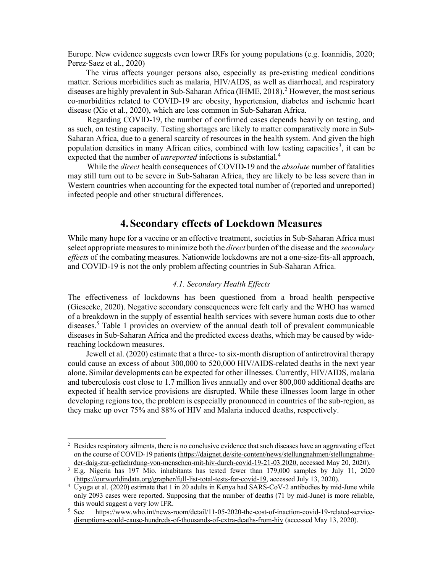Europe. New evidence suggests even lower IRFs for young populations (e.g. Ioannidis, 2020; Perez-Saez et al., 2020)

The virus affects younger persons also, especially as pre-existing medical conditions matter. Serious morbidities such as malaria, HIV/AIDS, as well as diarrhoeal, and respiratory diseases are highly prevalent in Sub-Saharan Africa (IHME, 2018).<sup>2</sup> However, the most serious co-morbidities related to COVID-19 are obesity, hypertension, diabetes and ischemic heart disease (Xie et al., 2020), which are less common in Sub-Saharan Africa.

Regarding COVID-19, the number of confirmed cases depends heavily on testing, and as such, on testing capacity. Testing shortages are likely to matter comparatively more in Sub-Saharan Africa, due to a general scarcity of resources in the health system. And given the high population densities in many African cities, combined with low testing capacities<sup>3</sup>, it can be expected that the number of *unreported* infections is substantial.<sup>4</sup>

While the *direct* health consequences of COVID-19 and the *absolute* number of fatalities may still turn out to be severe in Sub-Saharan Africa, they are likely to be less severe than in Western countries when accounting for the expected total number of (reported and unreported) infected people and other structural differences.

## **4.Secondary effects of Lockdown Measures**

While many hope for a vaccine or an effective treatment, societies in Sub-Saharan Africa must select appropriate measures to minimize both the *direct* burden of the disease and the *secondary effects* of the combating measures. Nationwide lockdowns are not a one-size-fits-all approach, and COVID-19 is not the only problem affecting countries in Sub-Saharan Africa.

### *4.1. Secondary Health Effects*

The effectiveness of lockdowns has been questioned from a broad health perspective (Giesecke, 2020). Negative secondary consequences were felt early and the WHO has warned of a breakdown in the supply of essential health services with severe human costs due to other diseases.<sup>5</sup> Table 1 provides an overview of the annual death toll of prevalent communicable diseases in Sub-Saharan Africa and the predicted excess deaths, which may be caused by widereaching lockdown measures.

Jewell et al. (2020) estimate that a three- to six-month disruption of antiretroviral therapy could cause an excess of about 300,000 to 520,000 HIV/AIDS-related deaths in the next year alone. Similar developments can be expected for other illnesses. Currently, HIV/AIDS, malaria and tuberculosis cost close to 1.7 million lives annually and over 800,000 additional deaths are expected if health service provisions are disrupted. While these illnesses loom large in other developing regions too, the problem is especially pronounced in countries of the sub-region, as they make up over 75% and 88% of HIV and Malaria induced deaths, respectively.

<sup>&</sup>lt;sup>2</sup> Besides respiratory ailments, there is no conclusive evidence that such diseases have an aggravating effect on the course of COVID-19 patients (https://daignet.de/site-content/news/stellungnahmen/stellungnahmeder-daig-zur-gefaehrdung-von-menschen-mit-hiv-durch-covid-19-21-03.2020, accessed May 20, 2020).

<sup>&</sup>lt;sup>3</sup> E.g. Nigeria has 197 Mio. inhabitants has tested fewer than 179,000 samples by July 11, 2020 (https://ourworldindata.org/grapher/full-list-total-tests-for-covid-19, accessed July 13, 2020).

<sup>4</sup> Uyoga et al. (2020) estimate that 1 in 20 adults in Kenya had SARS-CoV-2 antibodies by mid-June while only 2093 cases were reported. Supposing that the number of deaths (71 by mid-June) is more reliable, this would suggest a very low IFR.

<sup>&</sup>lt;sup>5</sup> See https://www.who.int/news-room/detail/11-05-2020-the-cost-of-inaction-covid-19-related-servicedisruptions-could-cause-hundreds-of-thousands-of-extra-deaths-from-hiv (accessed May 13, 2020).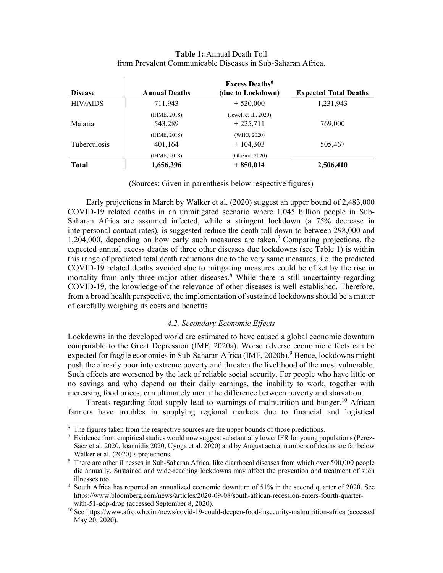## **Table 1:** Annual Death Toll from Prevalent Communicable Diseases in Sub-Saharan Africa.

 $\mathbf{r}$ 

| <b>Disease</b>      | <b>Excess Deaths</b> <sup>6</sup> |                       |                              |
|---------------------|-----------------------------------|-----------------------|------------------------------|
|                     | <b>Annual Deaths</b>              | (due to Lockdown)     | <b>Expected Total Deaths</b> |
| <b>HIV/AIDS</b>     | 711,943                           | $+520,000$            | 1,231,943                    |
|                     | (IHME, 2018)                      | (Jewell et al., 2020) |                              |
| Malaria             | 543,289                           | $+225,711$            | 769,000                      |
|                     | (IHME, 2018)                      | (WHO, 2020)           |                              |
| <b>Tuberculosis</b> | 401,164                           | $+104.303$            | 505,467                      |
|                     | (IHME, 2018)                      | (Glaziou, 2020)       |                              |
| <b>Total</b>        | 1,656,396                         | $+850,014$            | 2,506,410                    |

(Sources: Given in parenthesis below respective figures)

Early projections in March by Walker et al. (2020) suggest an upper bound of 2,483,000 COVID-19 related deaths in an unmitigated scenario where 1.045 billion people in Sub-Saharan Africa are assumed infected, while a stringent lockdown (a 75% decrease in interpersonal contact rates), is suggested reduce the death toll down to between 298,000 and 1,204,000, depending on how early such measures are taken.<sup>7</sup> Comparing projections, the expected annual excess deaths of three other diseases due lockdowns (see Table 1) is within this range of predicted total death reductions due to the very same measures, i.e. the predicted COVID-19 related deaths avoided due to mitigating measures could be offset by the rise in mortality from only three major other diseases.<sup>8</sup> While there is still uncertainty regarding COVID-19, the knowledge of the relevance of other diseases is well established. Therefore, from a broad health perspective, the implementation of sustained lockdowns should be a matter of carefully weighing its costs and benefits.

### *4.2. Secondary Economic Effects*

Lockdowns in the developed world are estimated to have caused a global economic downturn comparable to the Great Depression (IMF, 2020a). Worse adverse economic effects can be expected for fragile economies in Sub-Saharan Africa (IMF, 2020b).<sup>9</sup> Hence, lockdowns might push the already poor into extreme poverty and threaten the livelihood of the most vulnerable. Such effects are worsened by the lack of reliable social security. For people who have little or no savings and who depend on their daily earnings, the inability to work, together with increasing food prices, can ultimately mean the difference between poverty and starvation.

Threats regarding food supply lead to warnings of malnutrition and hunger.<sup>10</sup> African farmers have troubles in supplying regional markets due to financial and logistical

<sup>&</sup>lt;sup>6</sup> The figures taken from the respective sources are the upper bounds of those predictions.

<sup>&</sup>lt;sup>7</sup> Evidence from empirical studies would now suggest substantially lower IFR for young populations (Perez-Saez et al. 2020, Ioannidis 2020, Uyoga et al. 2020) and by August actual numbers of deaths are far below Walker et al. (2020)'s projections.

<sup>&</sup>lt;sup>8</sup> There are other illnesses in Sub-Saharan Africa, like diarrhoeal diseases from which over 500,000 people die annually. Sustained and wide-reaching lockdowns may affect the prevention and treatment of such illnesses too.

<sup>9</sup> South Africa has reported an annualized economic downturn of 51% in the second quarter of 2020. See https://www.bloomberg.com/news/articles/2020-09-08/south-african-recession-enters-fourth-quarterwith-51-gdp-drop (accessed September 8, 2020).

<sup>&</sup>lt;sup>10</sup> See https://www.afro.who.int/news/covid-19-could-deepen-food-insecurity-malnutrition-africa (accessed May 20, 2020).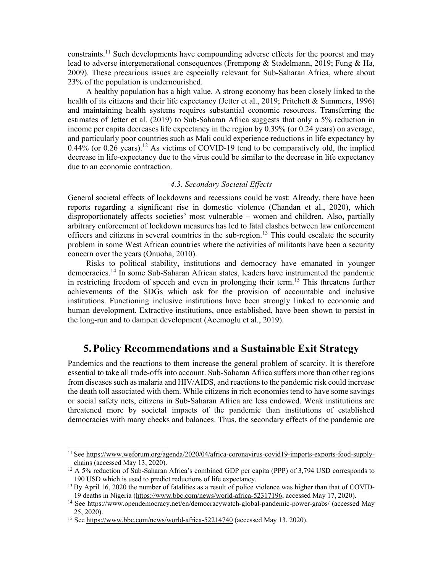constraints.<sup>11</sup> Such developments have compounding adverse effects for the poorest and may lead to adverse intergenerational consequences (Frempong & Stadelmann, 2019; Fung & Ha, 2009). These precarious issues are especially relevant for Sub-Saharan Africa, where about 23% of the population is undernourished.

A healthy population has a high value. A strong economy has been closely linked to the health of its citizens and their life expectancy (Jetter et al., 2019; Pritchett & Summers, 1996) and maintaining health systems requires substantial economic resources. Transferring the estimates of Jetter et al. (2019) to Sub-Saharan Africa suggests that only a 5% reduction in income per capita decreases life expectancy in the region by 0.39% (or 0.24 years) on average, and particularly poor countries such as Mali could experience reductions in life expectancy by  $0.44\%$  (or 0.26 years).<sup>12</sup> As victims of COVID-19 tend to be comparatively old, the implied decrease in life-expectancy due to the virus could be similar to the decrease in life expectancy due to an economic contraction.

#### *4.3. Secondary Societal Effects*

General societal effects of lockdowns and recessions could be vast: Already, there have been reports regarding a significant rise in domestic violence (Chandan et al., 2020), which disproportionately affects societies' most vulnerable – women and children. Also, partially arbitrary enforcement of lockdown measures has led to fatal clashes between law enforcement officers and citizens in several countries in the sub-region.<sup>13</sup> This could escalate the security problem in some West African countries where the activities of militants have been a security concern over the years (Onuoha, 2010).

Risks to political stability, institutions and democracy have emanated in younger democracies.<sup>14</sup> In some Sub-Saharan African states, leaders have instrumented the pandemic in restricting freedom of speech and even in prolonging their term.<sup>15</sup> This threatens further achievements of the SDGs which ask for the provision of accountable and inclusive institutions. Functioning inclusive institutions have been strongly linked to economic and human development. Extractive institutions, once established, have been shown to persist in the long-run and to dampen development (Acemoglu et al., 2019).

## **5.Policy Recommendations and a Sustainable Exit Strategy**

Pandemics and the reactions to them increase the general problem of scarcity. It is therefore essential to take all trade-offs into account. Sub-Saharan Africa suffers more than other regions from diseases such as malaria and HIV/AIDS, and reactions to the pandemic risk could increase the death toll associated with them. While citizens in rich economies tend to have some savings or social safety nets, citizens in Sub-Saharan Africa are less endowed. Weak institutions are threatened more by societal impacts of the pandemic than institutions of established democracies with many checks and balances. Thus, the secondary effects of the pandemic are

<sup>&</sup>lt;sup>11</sup> See https://www.weforum.org/agenda/2020/04/africa-coronavirus-covid19-imports-exports-food-supplychains (accessed May 13, 2020).

 $12$  A 5% reduction of Sub-Saharan Africa's combined GDP per capita (PPP) of 3,794 USD corresponds to 190 USD which is used to predict reductions of life expectancy.

<sup>&</sup>lt;sup>13</sup> By April 16, 2020 the number of fatalities as a result of police violence was higher than that of COVID-19 deaths in Nigeria (https://www.bbc.com/news/world-africa-52317196, accessed May 17, 2020).

<sup>14</sup> See https://www.opendemocracy.net/en/democracywatch-global-pandemic-power-grabs/ (accessed May 25, 2020).

<sup>15</sup> See https://www.bbc.com/news/world-africa-52214740 (accessed May 13, 2020).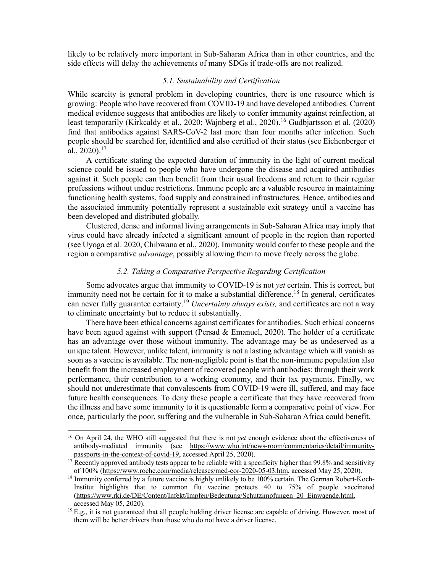likely to be relatively more important in Sub-Saharan Africa than in other countries, and the side effects will delay the achievements of many SDGs if trade-offs are not realized.

#### *5.1. Sustainability and Certification*

While scarcity is general problem in developing countries, there is one resource which is growing: People who have recovered from COVID-19 and have developed antibodies. Current medical evidence suggests that antibodies are likely to confer immunity against reinfection, at least temporarily (Kirkcaldy et al., 2020; Wajnberg et al., 2020).<sup>16</sup> Gudbjartsson et al. (2020) find that antibodies against SARS-CoV-2 last more than four months after infection. Such people should be searched for, identified and also certified of their status (see Eichenberger et al.,  $2020$ ).<sup>17</sup>

A certificate stating the expected duration of immunity in the light of current medical science could be issued to people who have undergone the disease and acquired antibodies against it. Such people can then benefit from their usual freedoms and return to their regular professions without undue restrictions. Immune people are a valuable resource in maintaining functioning health systems, food supply and constrained infrastructures. Hence, antibodies and the associated immunity potentially represent a sustainable exit strategy until a vaccine has been developed and distributed globally.

Clustered, dense and informal living arrangements in Sub-Saharan Africa may imply that virus could have already infected a significant amount of people in the region than reported (see Uyoga et al. 2020, Chibwana et al., 2020). Immunity would confer to these people and the region a comparative *advantage*, possibly allowing them to move freely across the globe.

#### *5.2. Taking a Comparative Perspective Regarding Certification*

Some advocates argue that immunity to COVID-19 is not *yet* certain. This is correct, but immunity need not be certain for it to make a substantial difference.<sup>18</sup> In general, certificates can never fully guarantee certainty.<sup>19</sup> *Uncertainty always exists,* and certificates are not a way to eliminate uncertainty but to reduce it substantially.

There have been ethical concerns against certificates for antibodies. Such ethical concerns have been agued against with support (Persad & Emanuel, 2020). The holder of a certificate has an advantage over those without immunity. The advantage may be as undeserved as a unique talent. However, unlike talent, immunity is not a lasting advantage which will vanish as soon as a vaccine is available. The non-negligible point is that the non-immune population also benefit from the increased employment of recovered people with antibodies: through their work performance, their contribution to a working economy, and their tax payments. Finally, we should not underestimate that convalescents from COVID-19 were ill, suffered, and may face future health consequences. To deny these people a certificate that they have recovered from the illness and have some immunity to it is questionable form a comparative point of view. For once, particularly the poor, suffering and the vulnerable in Sub-Saharan Africa could benefit.

<sup>16</sup> On April 24, the WHO still suggested that there is not *yet* enough evidence about the effectiveness of antibody-mediated immunity (see https://www.who.int/news-room/commentaries/detail/immunitypassports-in-the-context-of-covid-19, accessed April 25, 2020).

<sup>&</sup>lt;sup>17</sup> Recently approved antibody tests appear to be reliable with a specificity higher than 99.8% and sensitivity of 100% (https://www.roche.com/media/releases/med-cor-2020-05-03.htm, accessed May 25, 2020).

<sup>&</sup>lt;sup>18</sup> Immunity conferred by a future vaccine is highly unlikely to be 100% certain. The German Robert-Koch-Institut highlights that to common flu vaccine protects 40 to 75% of people vaccinated (https://www.rki.de/DE/Content/Infekt/Impfen/Bedeutung/Schutzimpfungen\_20\_Einwaende.html, accessed May 05, 2020).

<sup>&</sup>lt;sup>19</sup> E.g., it is not guaranteed that all people holding driver license are capable of driving. However, most of them will be better drivers than those who do not have a driver license.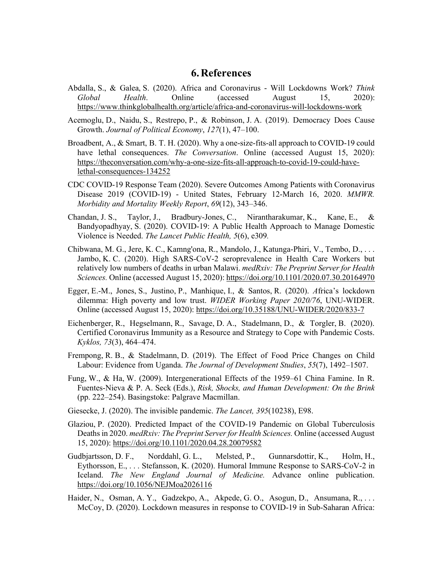## **6. References**

- Abdalla, S., & Galea, S. (2020). Africa and Coronavirus Will Lockdowns Work? *Think Global Health*. Online (accessed August 15, 2020): https://www.thinkglobalhealth.org/article/africa-and-coronavirus-will-lockdowns-work
- Acemoglu, D., Naidu, S., Restrepo, P., & Robinson, J. A. (2019). Democracy Does Cause Growth. *Journal of Political Economy*, *127*(1), 47–100.
- Broadbent, A., & Smart, B. T. H. (2020). Why a one-size-fits-all approach to COVID-19 could have lethal consequences. *The Conversation*. Online (accessed August 15, 2020): https://theconversation.com/why-a-one-size-fits-all-approach-to-covid-19-could-havelethal-consequences-134252
- CDC COVID-19 Response Team (2020). Severe Outcomes Among Patients with Coronavirus Disease 2019 (COVID-19) - United States, February 12-March 16, 2020. *MMWR. Morbidity and Mortality Weekly Report*, *69*(12), 343–346.
- Chandan, J. S., Taylor, J., Bradbury-Jones, C., Nirantharakumar, K., Kane, E., & Bandyopadhyay, S. (2020). COVID-19: A Public Health Approach to Manage Domestic Violence is Needed. *The Lancet Public Health, 5*(6), e309*.*
- Chibwana, M. G., Jere, K. C., Kamng'ona, R., Mandolo, J., Katunga-Phiri, V., Tembo, D., . . . Jambo, K. C. (2020). High SARS-CoV-2 seroprevalence in Health Care Workers but relatively low numbers of deaths in urban Malawi. *medRxiv: The Preprint Server for Health Sciences.* Online (accessed August 15, 2020): https://doi.org/10.1101/2020.07.30.20164970
- Egger, E.‑M., Jones, S., Justino, P., Manhique, I., & Santos, R. (2020). *A*frica's lockdown dilemma: High poverty and low trust. *WIDER Working Paper 2020/76*, UNU-WIDER. Online (accessed August 15, 2020): https://doi.org/10.35188/UNU-WIDER/2020/833-7
- Eichenberger, R., Hegselmann, R., Savage, D. A., Stadelmann, D., & Torgler, B. (2020). Certified Coronavirus Immunity as a Resource and Strategy to Cope with Pandemic Costs. *Kyklos, 73*(3), 464–474.
- Frempong, R. B., & Stadelmann, D. (2019). The Effect of Food Price Changes on Child Labour: Evidence from Uganda. *The Journal of Development Studies*, *55*(7), 1492–1507.
- Fung, W., & Ha, W. (2009). Intergenerational Effects of the 1959–61 China Famine. In R. Fuentes-Nieva & P. A. Seck (Eds.), *Risk, Shocks, and Human Development: On the Brink*  (pp. 222–254). Basingstoke: Palgrave Macmillan.
- Giesecke, J. (2020). The invisible pandemic. *The Lancet, 395*(10238), E98.
- Glaziou, P. (2020). Predicted Impact of the COVID-19 Pandemic on Global Tuberculosis Deaths in 2020. *medRxiv: The Preprint Server for Health Sciences.* Online (accessed August 15, 2020): https://doi.org/10.1101/2020.04.28.20079582
- Gudbjartsson, D. F., Norddahl, G. L., Melsted, P., Gunnarsdottir, K., Holm, H., Eythorsson, E., . . . Stefansson, K. (2020). Humoral Immune Response to SARS-CoV-2 in Iceland. *The New England Journal of Medicine.* Advance online publication. https://doi.org/10.1056/NEJMoa2026116
- Haider, N., Osman, A. Y., Gadzekpo, A., Akpede, G. O., Asogun, D., Ansumana, R., . . . McCoy, D. (2020). Lockdown measures in response to COVID-19 in Sub-Saharan Africa: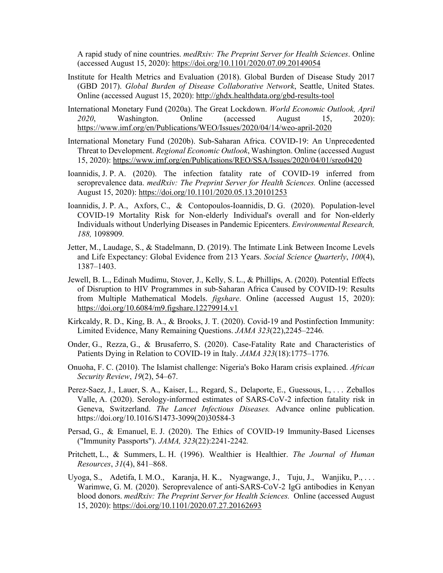A rapid study of nine countries. *medRxiv: The Preprint Server for Health Sciences*. Online (accessed August 15, 2020): https://doi.org/10.1101/2020.07.09.20149054

- Institute for Health Metrics and Evaluation (2018). Global Burden of Disease Study 2017 (GBD 2017). *Global Burden of Disease Collaborative Network*, Seattle, United States. Online (accessed August 15, 2020): http://ghdx.healthdata.org/gbd-results-tool
- International Monetary Fund (2020a). The Great Lockdown. *World Economic Outlook, April 2020*, Washington. Online (accessed August 15, 2020): https://www.imf.org/en/Publications/WEO/Issues/2020/04/14/weo-april-2020
- International Monetary Fund (2020b). Sub-Saharan Africa. COVID-19: An Unprecedented Threat to Development. *Regional Economic Outlook*, Washington. Online (accessed August 15, 2020): https://www.imf.org/en/Publications/REO/SSA/Issues/2020/04/01/sreo0420
- Ioannidis, J. P. A. (2020). The infection fatality rate of COVID-19 inferred from seroprevalence data. *medRxiv: The Preprint Server for Health Sciences.* Online (accessed August 15, 2020): https://doi.org/10.1101/2020.05.13.20101253
- Ioannidis, J. P. A., Axfors, C., & Contopoulos-Ioannidis, D. G. (2020). Population-level COVID-19 Mortality Risk for Non-elderly Individual's overall and for Non-elderly Individuals without Underlying Diseases in Pandemic Epicenters. *Environmental Research, 188,* 1098909*.*
- Jetter, M., Laudage, S., & Stadelmann, D. (2019). The Intimate Link Between Income Levels and Life Expectancy: Global Evidence from 213 Years. *Social Science Quarterly*, *100*(4), 1387–1403.
- Jewell, B. L., Edinah Mudimu, Stover, J., Kelly, S. L., & Phillips, A. (2020). Potential Effects of Disruption to HIV Programmes in sub-Saharan Africa Caused by COVID-19: Results from Multiple Mathematical Models. *figshare*. Online (accessed August 15, 2020): https://doi.org/10.6084/m9.figshare.12279914.v1
- Kirkcaldy, R. D., King, B. A., & Brooks, J. T. (2020). Covid-19 and Postinfection Immunity: Limited Evidence, Many Remaining Questions. *JAMA 323*(22),2245–2246*.*
- Onder, G., Rezza, G., & Brusaferro, S. (2020). Case-Fatality Rate and Characteristics of Patients Dying in Relation to COVID-19 in Italy. *JAMA 323*(18):1775–1776*.*
- Onuoha, F. C. (2010). The Islamist challenge: Nigeria's Boko Haram crisis explained. *African Security Review*, *19*(2), 54–67.
- Perez-Saez, J., Lauer, S. A., Kaiser, L., Regard, S., Delaporte, E., Guessous, I., . . . Zeballos Valle, A. (2020). Serology-informed estimates of SARS-CoV-2 infection fatality risk in Geneva, Switzerland. *The Lancet Infectious Diseases.* Advance online publication. https://doi.org/10.1016/S1473-3099(20)30584-3
- Persad, G., & Emanuel, E. J. (2020). The Ethics of COVID-19 Immunity-Based Licenses ("Immunity Passports"). *JAMA, 323*(22):2241-2242*.*
- Pritchett, L., & Summers, L. H. (1996). Wealthier is Healthier. *The Journal of Human Resources*, *31*(4), 841–868.
- Uyoga, S., Adetifa, I. M.O., Karanja, H. K., Nyagwange, J., Tuju, J., Wanjiku, P., . . . Warimwe, G. M. (2020). Seroprevalence of anti-SARS-CoV-2 IgG antibodies in Kenyan blood donors. *medRxiv: The Preprint Server for Health Sciences.* Online (accessed August 15, 2020): https://doi.org/10.1101/2020.07.27.20162693